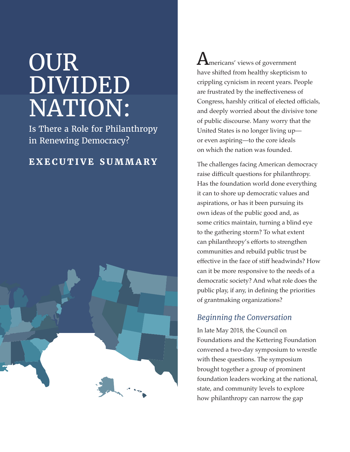# OUR DIVIDED NATION:

Is There a Role for Philanthropy in Renewing Democracy?

## **EXECUTIVE SUMMARY**



 $\mathbf A$ mericans' views of government have shifted from healthy skepticism to crippling cynicism in recent years. People are frustrated by the ineffectiveness of Congress, harshly critical of elected officials, and deeply worried about the divisive tone of public discourse. Many worry that the United States is no longer living up or even aspiring—to the core ideals on which the nation was founded.

The challenges facing American democracy raise difficult questions for philanthropy. Has the foundation world done everything it can to shore up democratic values and aspirations, or has it been pursuing its own ideas of the public good and, as some critics maintain, turning a blind eye to the gathering storm? To what extent can philanthropy's efforts to strengthen communities and rebuild public trust be effective in the face of stiff headwinds? How can it be more responsive to the needs of a democratic society? And what role does the public play, if any, in defining the priorities of grantmaking organizations?

#### *Beginning the Conversation*

In late May 2018, the Council on Foundations and the Kettering Foundation convened a two-day symposium to wrestle with these questions. The symposium brought together a group of prominent foundation leaders working at the national, state, and community levels to explore how philanthropy can narrow the gap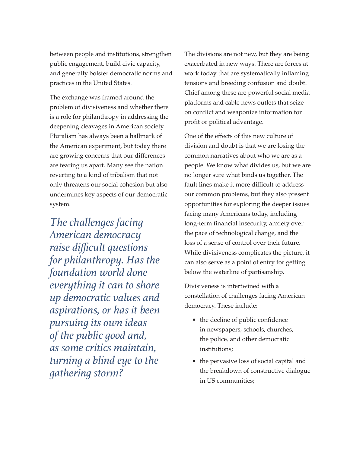between people and institutions, strengthen public engagement, build civic capacity, and generally bolster democratic norms and practices in the United States.

The exchange was framed around the problem of divisiveness and whether there is a role for philanthropy in addressing the deepening cleavages in American society. Pluralism has always been a hallmark of the American experiment, but today there are growing concerns that our differences are tearing us apart. Many see the nation reverting to a kind of tribalism that not only threatens our social cohesion but also undermines key aspects of our democratic system.

*The challenges facing American democracy raise difficult questions for philanthropy. Has the foundation world done everything it can to shore up democratic values and aspirations, or has it been pursuing its own ideas of the public good and, as some critics maintain, turning a blind eye to the gathering storm?*

The divisions are not new, but they are being exacerbated in new ways. There are forces at work today that are systematically inflaming tensions and breeding confusion and doubt. Chief among these are powerful social media platforms and cable news outlets that seize on conflict and weaponize information for profit or political advantage.

One of the effects of this new culture of division and doubt is that we are losing the common narratives about who we are as a people. We know what divides us, but we are no longer sure what binds us together. The fault lines make it more difficult to address our common problems, but they also present opportunities for exploring the deeper issues facing many Americans today, including long-term financial insecurity, anxiety over the pace of technological change, and the loss of a sense of control over their future. While divisiveness complicates the picture, it can also serve as a point of entry for getting below the waterline of partisanship.

Divisiveness is intertwined with a constellation of challenges facing American democracy. These include:

- the decline of public confidence in newspapers, schools, churches, the police, and other democratic institutions;
- the pervasive loss of social capital and the breakdown of constructive dialogue in US communities;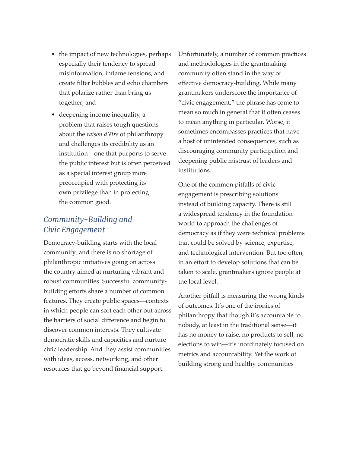- the impact of new technologies, perhaps especially their tendency to spread misinformation, inflame tensions, and create filter bubbles and echo chambers that polarize rather than bring us together; and
- deepening income inequality, a problem that raises tough questions about the *raison d'être* of philanthropy and challenges its credibility as an institution—one that purports to serve the public interest but is often perceived as a special interest group more preoccupied with protecting its own privilege than in protecting the common good.

### *Community-Building and Civic Engagement*

Democracy-building starts with the local community, and there is no shortage of philanthropic initiatives going on across the country aimed at nurturing vibrant and robust communities. Successful communitybuilding efforts share a number of common features. They create public spaces—contexts in which people can sort each other out across the barriers of social difference and begin to discover common interests. They cultivate democratic skills and capacities and nurture civic leadership. And they assist communities with ideas, access, networking, and other resources that go beyond financial support.

Unfortunately, a number of common practices and methodologies in the grantmaking community often stand in the way of effective democracy-building. While many grantmakers underscore the importance of "civic engagement," the phrase has come to mean so much in general that it often ceases to mean anything in particular. Worse, it sometimes encompasses practices that have a host of unintended consequences, such as discouraging community participation and deepening public mistrust of leaders and institutions.

One of the common pitfalls of civic engagement is prescribing solutions instead of building capacity. There is still a widespread tendency in the foundation world to approach the challenges of democracy as if they were technical problems that could be solved by science, expertise, and technological intervention. But too often, in an effort to develop solutions that can be taken to scale, grantmakers ignore people at the local level.

Another pitfall is measuring the wrong kinds of outcomes. It's one of the ironies of philanthropy that though it's accountable to nobody, at least in the traditional sense—it has no money to raise, no products to sell, no elections to win—it's inordinately focused on metrics and accountability. Yet the work of building strong and healthy communities